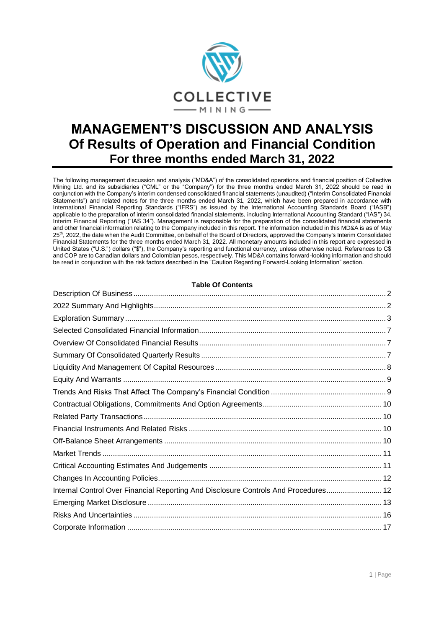

# **MANAGEMENT'S DISCUSSION AND ANALYSIS Of Results of Operation and Financial Condition For three months ended March 31, 2022**

The following management discussion and analysis ("MD&A") of the consolidated operations and financial position of Collective Mining Ltd. and its subsidiaries ("CML" or the "Company") for the three months ended March 31, 2022 should be read in conjunction with the Company's interim condensed consolidated financial statements (unaudited) ("Interim Consolidated Financial Statements") and related notes for the three months ended March 31, 2022, which have been prepared in accordance with International Financial Reporting Standards ("IFRS") as issued by the International Accounting Standards Board ("IASB") applicable to the preparation of interim consolidated financial statements, including International Accounting Standard ("IAS") 34, Interim Financial Reporting ("IAS 34"). Management is responsible for the preparation of the consolidated financial statements and other financial information relating to the Company included in this report. The information included in this MD&A is as of May 25<sup>th</sup>, 2022, the date when the Audit Committee, on behalf of the Board of Directors, approved the Company's Interim Consolidated Financial Statements for the three months ended March 31, 2022. All monetary amounts included in this report are expressed in United States ("U.S.") dollars ("\$"), the Company's reporting and functional currency, unless otherwise noted. References to C\$ and COP are to Canadian dollars and Colombian pesos, respectively. This MD&A contains forward-looking information and should be read in conjunction with the risk factors described in the "Caution Regarding Forward-Looking Information" section.

# **Table Of Contents**

| Internal Control Over Financial Reporting And Disclosure Controls And Procedures 12 |  |
|-------------------------------------------------------------------------------------|--|
|                                                                                     |  |
|                                                                                     |  |
|                                                                                     |  |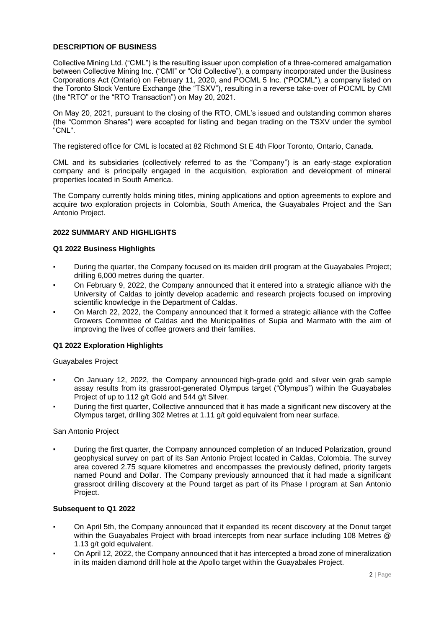# <span id="page-1-0"></span>**DESCRIPTION OF BUSINESS**

Collective Mining Ltd. ("CML") is the resulting issuer upon completion of a three-cornered amalgamation between Collective Mining Inc. ("CMI" or "Old Collective"), a company incorporated under the Business Corporations Act (Ontario) on February 11, 2020, and POCML 5 Inc. ("POCML"), a company listed on the Toronto Stock Venture Exchange (the "TSXV"), resulting in a reverse take-over of POCML by CMI (the "RTO" or the "RTO Transaction") on May 20, 2021.

On May 20, 2021, pursuant to the closing of the RTO, CML's issued and outstanding common shares (the "Common Shares") were accepted for listing and began trading on the TSXV under the symbol "CNL".

The registered office for CML is located at 82 Richmond St E 4th Floor Toronto, Ontario, Canada.

CML and its subsidiaries (collectively referred to as the "Company") is an early-stage exploration company and is principally engaged in the acquisition, exploration and development of mineral properties located in South America.

The Company currently holds mining titles, mining applications and option agreements to explore and acquire two exploration projects in Colombia, South America, the Guayabales Project and the San Antonio Project.

# <span id="page-1-1"></span>**2022 SUMMARY AND HIGHLIGHTS**

## **Q1 2022 Business Highlights**

- During the quarter, the Company focused on its maiden drill program at the Guayabales Project; drilling 6,000 metres during the quarter.
- On February 9, 2022, the Company announced that it entered into a strategic alliance with the University of Caldas to jointly develop academic and research projects focused on improving scientific knowledge in the Department of Caldas.
- On March 22, 2022, the Company announced that it formed a strategic alliance with the Coffee Growers Committee of Caldas and the Municipalities of Supia and Marmato with the aim of improving the lives of coffee growers and their families.

# **Q1 2022 Exploration Highlights**

Guayabales Project

- On January 12, 2022, the Company announced high-grade gold and silver vein grab sample assay results from its grassroot-generated Olympus target ("Olympus") within the Guayabales Project of up to 112 g/t Gold and 544 g/t Silver.
- During the first quarter, Collective announced that it has made a significant new discovery at the Olympus target, drilling 302 Metres at 1.11 g/t gold equivalent from near surface.

San Antonio Project

During the first quarter, the Company announced completion of an Induced Polarization, ground geophysical survey on part of its San Antonio Project located in Caldas, Colombia. The survey area covered 2.75 square kilometres and encompasses the previously defined, priority targets named Pound and Dollar. The Company previously announced that it had made a significant grassroot drilling discovery at the Pound target as part of its Phase I program at San Antonio Project.

#### **Subsequent to Q1 2022**

- On April 5th, the Company announced that it expanded its recent discovery at the Donut target within the Guayabales Project with broad intercepts from near surface including 108 Metres @ 1.13 g/t gold equivalent.
- On April 12, 2022, the Company announced that it has intercepted a broad zone of mineralization in its maiden diamond drill hole at the Apollo target within the Guayabales Project.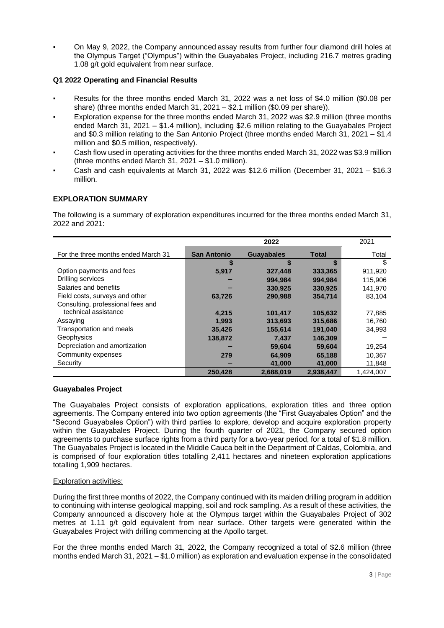On May 9, 2022, the Company announced assay results from further four diamond drill holes at the Olympus Target ("Olympus") within the Guayabales Project, including 216.7 metres grading 1.08 g/t gold equivalent from near surface.

# **Q1 2022 Operating and Financial Results**

- Results for the three months ended March 31, 2022 was a net loss of \$4.0 million (\$0.08 per share) (three months ended March 31, 2021 – \$2.1 million (\$0.09 per share)).
- Exploration expense for the three months ended March 31, 2022 was \$2.9 million (three months ended March 31, 2021 – \$1.4 million), including \$2.6 million relating to the Guayabales Project and \$0.3 million relating to the San Antonio Project (three months ended March 31, 2021 – \$1.4 million and \$0.5 million, respectively).
- Cash flow used in operating activities for the three months ended March 31, 2022 was \$3.9 million (three months ended March 31, 2021 – \$1.0 million).
- Cash and cash equivalents at March 31, 2022 was \$12.6 million (December 31, 2021 \$16.3 million.

# <span id="page-2-0"></span>**EXPLORATION SUMMARY**

The following is a summary of exploration expenditures incurred for the three months ended March 31, 2022 and 2021:

|                                     |                    | 2022              |           | 2021      |
|-------------------------------------|--------------------|-------------------|-----------|-----------|
| For the three months ended March 31 | <b>San Antonio</b> | <b>Guayabales</b> | Total     | Total     |
|                                     | S                  | S                 | \$        | \$        |
| Option payments and fees            | 5,917              | 327,448           | 333,365   | 911.920   |
| Drilling services                   |                    | 994.984           | 994,984   | 115.906   |
| Salaries and benefits               |                    | 330,925           | 330.925   | 141.970   |
| Field costs, surveys and other      | 63,726             | 290,988           | 354,714   | 83,104    |
| Consulting, professional fees and   |                    |                   |           |           |
| technical assistance                | 4,215              | 101,417           | 105,632   | 77.885    |
| Assaying                            | 1,993              | 313,693           | 315,686   | 16.760    |
| Transportation and meals            | 35,426             | 155,614           | 191,040   | 34,993    |
| Geophysics                          | 138,872            | 7.437             | 146.309   |           |
| Depreciation and amortization       |                    | 59,604            | 59,604    | 19,254    |
| Community expenses                  | 279                | 64,909            | 65,188    | 10,367    |
| Security                            |                    | 41,000            | 41,000    | 11,848    |
|                                     | 250.428            | 2,688,019         | 2.938.447 | 1.424.007 |

# **Guayabales Project**

The Guayabales Project consists of exploration applications, exploration titles and three option agreements. The Company entered into two option agreements (the "First Guayabales Option" and the "Second Guayabales Option") with third parties to explore, develop and acquire exploration property within the Guayabales Project. During the fourth quarter of 2021, the Company secured option agreements to purchase surface rights from a third party for a two-year period, for a total of \$1.8 million. The Guayabales Project is located in the Middle Cauca belt in the Department of Caldas, Colombia, and is comprised of four exploration titles totalling 2,411 hectares and nineteen exploration applications totalling 1,909 hectares.

# Exploration activities:

During the first three months of 2022, the Company continued with its maiden drilling program in addition to continuing with intense geological mapping, soil and rock sampling. As a result of these activities, the Company announced a discovery hole at the Olympus target within the Guayabales Project of 302 metres at 1.11 g/t gold equivalent from near surface. Other targets were generated within the Guayabales Project with drilling commencing at the Apollo target.

For the three months ended March 31, 2022, the Company recognized a total of \$2.6 million (three months ended March 31, 2021 – \$1.0 million) as exploration and evaluation expense in the consolidated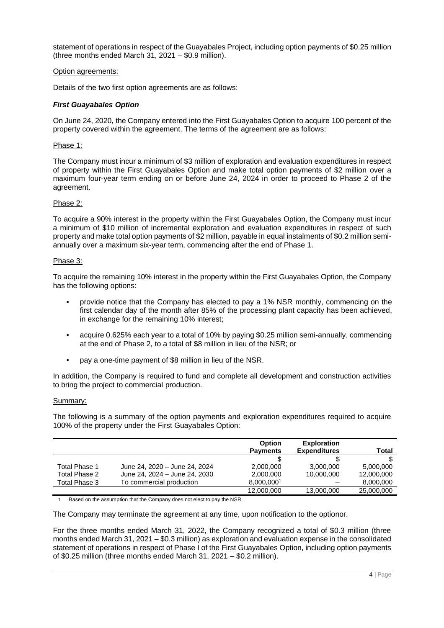statement of operations in respect of the Guayabales Project, including option payments of \$0.25 million (three months ended March 31, 2021 – \$0.9 million).

## Option agreements:

Details of the two first option agreements are as follows:

# *First Guayabales Option*

On June 24, 2020, the Company entered into the First Guayabales Option to acquire 100 percent of the property covered within the agreement. The terms of the agreement are as follows:

## Phase 1:

The Company must incur a minimum of \$3 million of exploration and evaluation expenditures in respect of property within the First Guayabales Option and make total option payments of \$2 million over a maximum four-year term ending on or before June 24, 2024 in order to proceed to Phase 2 of the agreement.

## Phase 2:

To acquire a 90% interest in the property within the First Guayabales Option, the Company must incur a minimum of \$10 million of incremental exploration and evaluation expenditures in respect of such property and make total option payments of \$2 million, payable in equal instalments of \$0.2 million semiannually over a maximum six-year term, commencing after the end of Phase 1.

#### Phase 3:

To acquire the remaining 10% interest in the property within the First Guayabales Option, the Company has the following options:

- provide notice that the Company has elected to pay a 1% NSR monthly, commencing on the first calendar day of the month after 85% of the processing plant capacity has been achieved, in exchange for the remaining 10% interest;
- acquire 0.625% each year to a total of 10% by paying \$0.25 million semi-annually, commencing at the end of Phase 2, to a total of \$8 million in lieu of the NSR; or
- pay a one-time payment of \$8 million in lieu of the NSR.

In addition, the Company is required to fund and complete all development and construction activities to bring the project to commercial production.

#### Summary:

The following is a summary of the option payments and exploration expenditures required to acquire 100% of the property under the First Guayabales Option:

|               |                               | Option          | <b>Exploration</b>  |            |
|---------------|-------------------------------|-----------------|---------------------|------------|
|               |                               | <b>Payments</b> | <b>Expenditures</b> | Total      |
|               |                               |                 |                     |            |
| Total Phase 1 | June 24, 2020 - June 24, 2024 | 2.000.000       | 3.000.000           | 5.000.000  |
| Total Phase 2 | June 24, 2024 - June 24, 2030 | 2,000,000       | 10,000,000          | 12,000,000 |
| Total Phase 3 | To commercial production      | 8,000,0001      |                     | 8,000,000  |
|               |                               | 12,000,000      | 13,000,000          | 25,000,000 |

1 Based on the assumption that the Company does not elect to pay the NSR.

The Company may terminate the agreement at any time, upon notification to the optionor.

For the three months ended March 31, 2022, the Company recognized a total of \$0.3 million (three months ended March 31, 2021 – \$0.3 million) as exploration and evaluation expense in the consolidated statement of operations in respect of Phase I of the First Guayabales Option, including option payments of \$0.25 million (three months ended March 31, 2021 – \$0.2 million).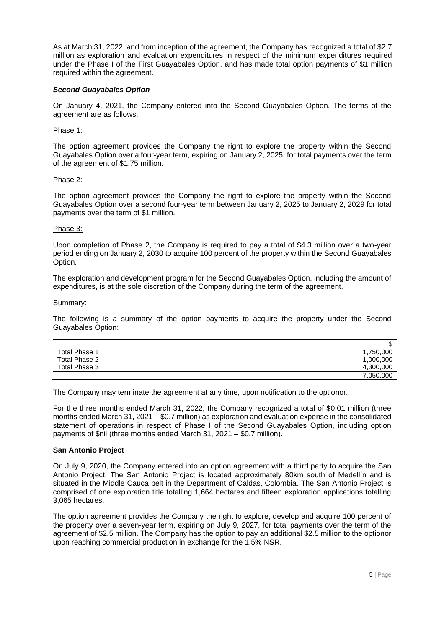As at March 31, 2022, and from inception of the agreement, the Company has recognized a total of \$2.7 million as exploration and evaluation expenditures in respect of the minimum expenditures required under the Phase I of the First Guayabales Option, and has made total option payments of \$1 million required within the agreement.

# *Second Guayabales Option*

On January 4, 2021, the Company entered into the Second Guayabales Option. The terms of the agreement are as follows:

## Phase 1:

The option agreement provides the Company the right to explore the property within the Second Guayabales Option over a four-year term, expiring on January 2, 2025, for total payments over the term of the agreement of \$1.75 million.

#### Phase 2:

The option agreement provides the Company the right to explore the property within the Second Guayabales Option over a second four-year term between January 2, 2025 to January 2, 2029 for total payments over the term of \$1 million.

#### Phase 3:

Upon completion of Phase 2, the Company is required to pay a total of \$4.3 million over a two-year period ending on January 2, 2030 to acquire 100 percent of the property within the Second Guayabales Option.

The exploration and development program for the Second Guayabales Option, including the amount of expenditures, is at the sole discretion of the Company during the term of the agreement.

#### Summary:

The following is a summary of the option payments to acquire the property under the Second Guayabales Option:

|               | J         |
|---------------|-----------|
| Total Phase 1 | 1,750,000 |
| Total Phase 2 | 1,000,000 |
| Total Phase 3 | 4,300,000 |
|               | 7,050,000 |

The Company may terminate the agreement at any time, upon notification to the optionor.

For the three months ended March 31, 2022, the Company recognized a total of \$0.01 million (three months ended March 31, 2021 – \$0.7 million) as exploration and evaluation expense in the consolidated statement of operations in respect of Phase I of the Second Guayabales Option, including option payments of \$nil (three months ended March 31, 2021 – \$0.7 million).

#### **San Antonio Project**

On July 9, 2020, the Company entered into an option agreement with a third party to acquire the San Antonio Project. The San Antonio Project is located approximately 80km south of Medellín and is situated in the Middle Cauca belt in the Department of Caldas, Colombia. The San Antonio Project is comprised of one exploration title totalling 1,664 hectares and fifteen exploration applications totalling 3,065 hectares.

The option agreement provides the Company the right to explore, develop and acquire 100 percent of the property over a seven-year term, expiring on July 9, 2027, for total payments over the term of the agreement of \$2.5 million. The Company has the option to pay an additional \$2.5 million to the optionor upon reaching commercial production in exchange for the 1.5% NSR.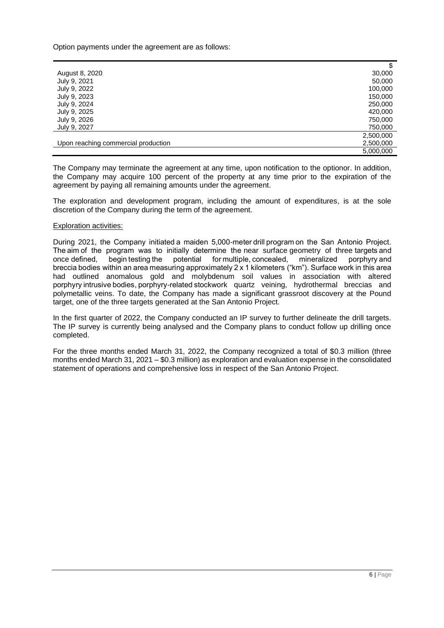Option payments under the agreement are as follows:

|                                     | \$        |
|-------------------------------------|-----------|
| August 8, 2020                      | 30,000    |
| July 9, 2021                        | 50,000    |
| July 9, 2022                        | 100,000   |
| July 9, 2023                        | 150,000   |
| July 9, 2024                        | 250,000   |
| July 9, 2025                        | 420,000   |
| July 9, 2026                        | 750,000   |
| July 9, 2027                        | 750,000   |
|                                     | 2,500,000 |
| Upon reaching commercial production | 2,500,000 |
|                                     | 5,000,000 |

The Company may terminate the agreement at any time, upon notification to the optionor. In addition, the Company may acquire 100 percent of the property at any time prior to the expiration of the agreement by paying all remaining amounts under the agreement.

The exploration and development program, including the amount of expenditures, is at the sole discretion of the Company during the term of the agreement.

#### Exploration activities:

During 2021, the Company initiated a maiden 5,000-meter drill program on the San Antonio Project. The aim of the program was to initially determine the near surface geometry of three targets and once defined, begin testing the potential for multiple, concealed, mineralized porphyry and breccia bodies within an area measuring approximately 2 x 1 kilometers ("km"). Surface work in this area had outlined anomalous gold and molybdenum soil values in association with altered porphyry intrusive bodies, porphyry-related stockwork quartz veining, hydrothermal breccias and polymetallic veins. To date, the Company has made a significant grassroot discovery at the Pound target, one of the three targets generated at the San Antonio Project.

In the first quarter of 2022, the Company conducted an IP survey to further delineate the drill targets. The IP survey is currently being analysed and the Company plans to conduct follow up drilling once completed.

<span id="page-5-0"></span>For the three months ended March 31, 2022, the Company recognized a total of \$0.3 million (three months ended March 31, 2021 – \$0.3 million) as exploration and evaluation expense in the consolidated statement of operations and comprehensive loss in respect of the San Antonio Project.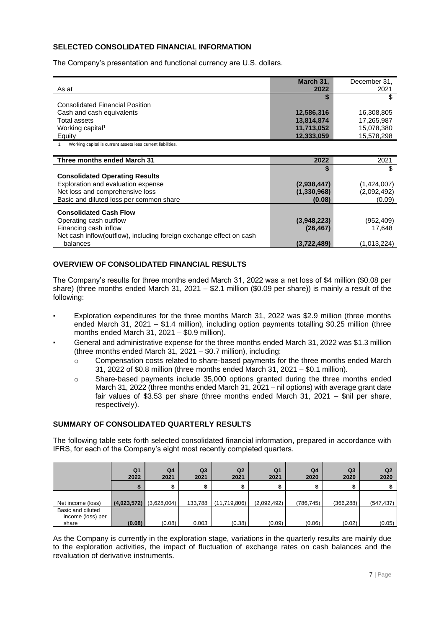# **SELECTED CONSOLIDATED FINANCIAL INFORMATION**

The Company's presentation and functional currency are U.S. dollars.

| As at                                  | March 31,<br>2022 | December 31,<br>2021 |
|----------------------------------------|-------------------|----------------------|
| <b>Consolidated Financial Position</b> |                   |                      |
| Cash and cash equivalents              | 12,586,316        | 16,308,805           |
| Total assets                           | 13,814,874        | 17,265,987           |
| Working capital <sup>1</sup>           | 11,713,052        | 15,078,380           |
| Equity                                 | 12,333,059        | 15,578,298           |

1 Working capital is current assets less current liabilities.

| Three months ended March 31                                         | 2022        | 2021        |
|---------------------------------------------------------------------|-------------|-------------|
|                                                                     |             |             |
| <b>Consolidated Operating Results</b>                               |             |             |
| Exploration and evaluation expense                                  | (2,938,447) | (1,424,007) |
| Net loss and comprehensive loss                                     | (1,330,968) | (2,092,492) |
| Basic and diluted loss per common share                             | (0.08)      | (0.09)      |
| <b>Consolidated Cash Flow</b>                                       |             |             |
|                                                                     |             |             |
| Operating cash outflow                                              | (3,948,223) | (952,409)   |
| Financing cash inflow                                               | (26, 467)   | 17.648      |
| Net cash inflow(outflow), including foreign exchange effect on cash |             |             |
| balances                                                            | (3,722,489) | (1,013,224) |

# <span id="page-6-0"></span>**OVERVIEW OF CONSOLIDATED FINANCIAL RESULTS**

The Company's results for three months ended March 31, 2022 was a net loss of \$4 million (\$0.08 per share) (three months ended March 31, 2021 – \$2.1 million (\$0.09 per share)) is mainly a result of the following:

- Exploration expenditures for the three months March 31, 2022 was \$2.9 million (three months ended March 31, 2021 – \$1.4 million), including option payments totalling \$0.25 million (three months ended March 31, 2021 – \$0.9 million).
- General and administrative expense for the three months ended March 31, 2022 was \$1.3 million (three months ended March 31, 2021 – \$0.7 million), including:
	- o Compensation costs related to share-based payments for the three months ended March 31, 2022 of \$0.8 million (three months ended March 31, 2021 – \$0.1 million).
	- o Share-based payments include 35,000 options granted during the three months ended March 31, 2022 (three months ended March 31, 2021 – nil options) with average grant date fair values of \$3.53 per share (three months ended March 31, 2021 – \$nil per share, respectively).

# <span id="page-6-1"></span>**SUMMARY OF CONSOLIDATED QUARTERLY RESULTS**

The following table sets forth selected consolidated financial information, prepared in accordance with IFRS, for each of the Company's eight most recently completed quarters.

|                                                 | Q <sub>1</sub><br>2022 | Q4<br>2021  | Q <sub>3</sub><br>2021 | Q <sub>2</sub><br>2021 | Q <sub>1</sub><br>2021 | Q4<br>2020 | Q3<br>2020 | Q2<br>2020 |
|-------------------------------------------------|------------------------|-------------|------------------------|------------------------|------------------------|------------|------------|------------|
|                                                 |                        |             |                        |                        |                        |            |            |            |
| Net income (loss)                               | (4,023,572)            | (3,628,004) | 133,788                | (11,719,806)           | (2,092,492)            | (786, 745) | (366, 288) | (547, 437) |
| Basic and diluted<br>income (loss) per<br>share | (0.08)                 | (0.08)      | 0.003                  | (0.38)                 | (0.09)                 | (0.06)     | (0.02)     | (0.05)     |

As the Company is currently in the exploration stage, variations in the quarterly results are mainly due to the exploration activities, the impact of fluctuation of exchange rates on cash balances and the revaluation of derivative instruments.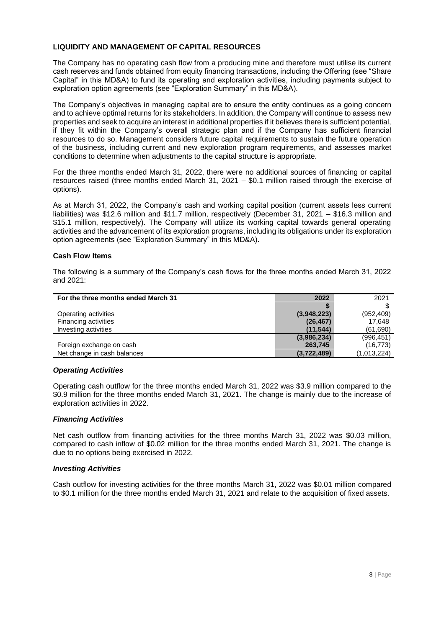# <span id="page-7-0"></span>**LIQUIDITY AND MANAGEMENT OF CAPITAL RESOURCES**

The Company has no operating cash flow from a producing mine and therefore must utilise its current cash reserves and funds obtained from equity financing transactions, including the Offering (see "Share Capital" in this MD&A) to fund its operating and exploration activities, including payments subject to exploration option agreements (see "Exploration Summary" in this MD&A).

The Company's objectives in managing capital are to ensure the entity continues as a going concern and to achieve optimal returns for its stakeholders. In addition, the Company will continue to assess new properties and seek to acquire an interest in additional properties if it believes there is sufficient potential, if they fit within the Company's overall strategic plan and if the Company has sufficient financial resources to do so. Management considers future capital requirements to sustain the future operation of the business, including current and new exploration program requirements, and assesses market conditions to determine when adjustments to the capital structure is appropriate.

For the three months ended March 31, 2022, there were no additional sources of financing or capital resources raised (three months ended March 31, 2021 – \$0.1 million raised through the exercise of options).

As at March 31, 2022, the Company's cash and working capital position (current assets less current liabilities) was \$12.6 million and \$11.7 million, respectively (December 31, 2021 – \$16.3 million and \$15.1 million, respectively). The Company will utilize its working capital towards general operating activities and the advancement of its exploration programs, including its obligations under its exploration option agreements (see "Exploration Summary" in this MD&A).

## **Cash Flow Items**

The following is a summary of the Company's cash flows for the three months ended March 31, 2022 and 2021:

| For the three months ended March 31 | 2022        | 2021        |
|-------------------------------------|-------------|-------------|
|                                     |             |             |
| Operating activities                | (3,948,223) | (952, 409)  |
| Financing activities                | (26, 467)   | 17.648      |
| Investing activities                | (11, 544)   | (61, 690)   |
|                                     | (3,986,234) | (996, 451)  |
| Foreign exchange on cash            | 263,745     | (16, 773)   |
| Net change in cash balances         | (3,722,489) | (1,013,224) |

#### *Operating Activities*

Operating cash outflow for the three months ended March 31, 2022 was \$3.9 million compared to the \$0.9 million for the three months ended March 31, 2021. The change is mainly due to the increase of exploration activities in 2022.

## *Financing Activities*

Net cash outflow from financing activities for the three months March 31, 2022 was \$0.03 million, compared to cash inflow of \$0.02 million for the three months ended March 31, 2021. The change is due to no options being exercised in 2022.

#### *Investing Activities*

Cash outflow for investing activities for the three months March 31, 2022 was \$0.01 million compared to \$0.1 million for the three months ended March 31, 2021 and relate to the acquisition of fixed assets.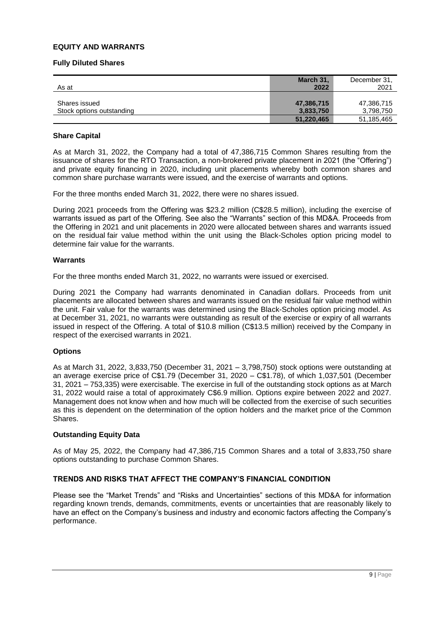# <span id="page-8-0"></span>**EQUITY AND WARRANTS**

#### **Fully Diluted Shares**

| As at                                      | March 31,<br>2022       | December 31.<br>2021    |
|--------------------------------------------|-------------------------|-------------------------|
| Shares issued<br>Stock options outstanding | 47,386,715<br>3,833,750 | 47,386,715<br>3,798,750 |
|                                            | 51,220,465              | 51,185,465              |

#### **Share Capital**

As at March 31, 2022, the Company had a total of 47,386,715 Common Shares resulting from the issuance of shares for the RTO Transaction, a non-brokered private placement in 2021 (the "Offering") and private equity financing in 2020, including unit placements whereby both common shares and common share purchase warrants were issued, and the exercise of warrants and options.

For the three months ended March 31, 2022, there were no shares issued.

During 2021 proceeds from the Offering was \$23.2 million (C\$28.5 million), including the exercise of warrants issued as part of the Offering. See also the "Warrants" section of this MD&A. Proceeds from the Offering in 2021 and unit placements in 2020 were allocated between shares and warrants issued on the residual fair value method within the unit using the Black-Scholes option pricing model to determine fair value for the warrants.

#### **Warrants**

For the three months ended March 31, 2022, no warrants were issued or exercised.

During 2021 the Company had warrants denominated in Canadian dollars. Proceeds from unit placements are allocated between shares and warrants issued on the residual fair value method within the unit. Fair value for the warrants was determined using the Black-Scholes option pricing model. As at December 31, 2021, no warrants were outstanding as result of the exercise or expiry of all warrants issued in respect of the Offering. A total of \$10.8 million (C\$13.5 million) received by the Company in respect of the exercised warrants in 2021.

#### **Options**

As at March 31, 2022, 3,833,750 (December 31, 2021 – 3,798,750) stock options were outstanding at an average exercise price of C\$1.79 (December 31, 2020 – C\$1.78), of which 1,037,501 (December 31, 2021 – 753,335) were exercisable. The exercise in full of the outstanding stock options as at March 31, 2022 would raise a total of approximately C\$6.9 million. Options expire between 2022 and 2027. Management does not know when and how much will be collected from the exercise of such securities as this is dependent on the determination of the option holders and the market price of the Common Shares.

#### **Outstanding Equity Data**

As of May 25, 2022, the Company had 47,386,715 Common Shares and a total of 3,833,750 share options outstanding to purchase Common Shares.

# <span id="page-8-1"></span>**TRENDS AND RISKS THAT AFFECT THE COMPANY'S FINANCIAL CONDITION**

Please see the "Market Trends" and "Risks and Uncertainties" sections of this MD&A for information regarding known trends, demands, commitments, events or uncertainties that are reasonably likely to have an effect on the Company's business and industry and economic factors affecting the Company's performance.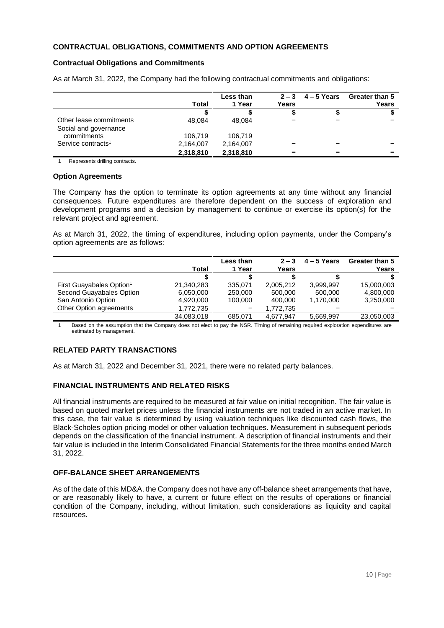# <span id="page-9-0"></span>**CONTRACTUAL OBLIGATIONS, COMMITMENTS AND OPTION AGREEMENTS**

## **Contractual Obligations and Commitments**

|                                |           | Less than<br>1 Year | $2 - 3$ | $4 - 5$ Years | <b>Greater than 5</b> |
|--------------------------------|-----------|---------------------|---------|---------------|-----------------------|
|                                | Total     |                     | Years   |               | Years                 |
|                                |           |                     |         |               |                       |
| Other lease commitments        | 48.084    | 48.084              |         |               |                       |
| Social and governance          |           |                     |         |               |                       |
| commitments                    | 106.719   | 106,719             |         |               |                       |
| Service contracts <sup>1</sup> | 2,164,007 | 2,164,007           |         | -             | -                     |
|                                | 2,318,810 | 2,318,810           |         |               |                       |

As at March 31, 2022, the Company had the following contractual commitments and obligations:

1 Represents drilling contracts.

#### **Option Agreements**

The Company has the option to terminate its option agreements at any time without any financial consequences. Future expenditures are therefore dependent on the success of exploration and development programs and a decision by management to continue or exercise its option(s) for the relevant project and agreement.

As at March 31, 2022, the timing of expenditures, including option payments, under the Company's option agreements are as follows:

|                                      |            | Less than | $2 - 3$   | $4 - 5$ Years | Greater than 5 |
|--------------------------------------|------------|-----------|-----------|---------------|----------------|
|                                      | Total      | 1 Year    | Years     |               | Years          |
|                                      |            |           |           |               |                |
| First Guayabales Option <sup>1</sup> | 21,340,283 | 335.071   | 2,005,212 | 3.999.997     | 15,000,003     |
| Second Guayabales Option             | 6,050,000  | 250,000   | 500,000   | 500,000       | 4,800,000      |
| San Antonio Option                   | 4,920,000  | 100.000   | 400.000   | 1.170.000     | 3,250,000      |
| Other Option agreements              | 1,772,735  |           | 1,772,735 |               |                |
|                                      | 34,083,018 | 685.071   | 4.677.947 | 5,669,997     | 23,050,003     |

1 Based on the assumption that the Company does not elect to pay the NSR. Timing of remaining required exploration expenditures are estimated by management.

# <span id="page-9-1"></span>**RELATED PARTY TRANSACTIONS**

<span id="page-9-2"></span>As at March 31, 2022 and December 31, 2021, there were no related party balances.

# **FINANCIAL INSTRUMENTS AND RELATED RISKS**

All financial instruments are required to be measured at fair value on initial recognition. The fair value is based on quoted market prices unless the financial instruments are not traded in an active market. In this case, the fair value is determined by using valuation techniques like discounted cash flows, the Black-Scholes option pricing model or other valuation techniques. Measurement in subsequent periods depends on the classification of the financial instrument. A description of financial instruments and their fair value is included in the Interim Consolidated Financial Statements for the three months ended March 31, 2022.

# <span id="page-9-3"></span>**OFF-BALANCE SHEET ARRANGEMENTS**

As of the date of this MD&A, the Company does not have any off-balance sheet arrangements that have, or are reasonably likely to have, a current or future effect on the results of operations or financial condition of the Company, including, without limitation, such considerations as liquidity and capital resources.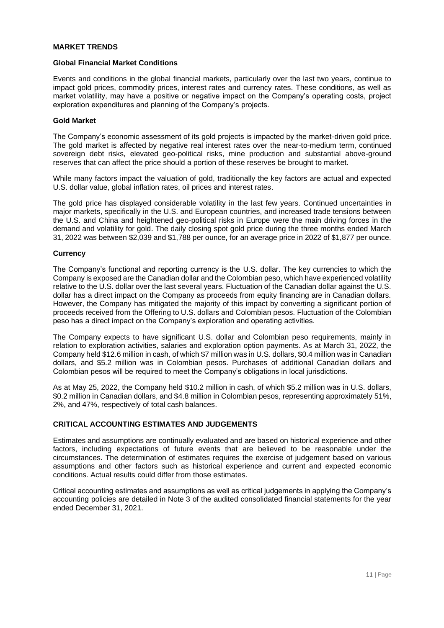## <span id="page-10-0"></span>**MARKET TRENDS**

#### **Global Financial Market Conditions**

Events and conditions in the global financial markets, particularly over the last two years, continue to impact gold prices, commodity prices, interest rates and currency rates. These conditions, as well as market volatility, may have a positive or negative impact on the Company's operating costs, project exploration expenditures and planning of the Company's projects.

#### **Gold Market**

The Company's economic assessment of its gold projects is impacted by the market-driven gold price. The gold market is affected by negative real interest rates over the near-to-medium term, continued sovereign debt risks, elevated geo-political risks, mine production and substantial above-ground reserves that can affect the price should a portion of these reserves be brought to market.

While many factors impact the valuation of gold, traditionally the key factors are actual and expected U.S. dollar value, global inflation rates, oil prices and interest rates.

The gold price has displayed considerable volatility in the last few years. Continued uncertainties in major markets, specifically in the U.S. and European countries, and increased trade tensions between the U.S. and China and heightened geo-political risks in Europe were the main driving forces in the demand and volatility for gold. The daily closing spot gold price during the three months ended March 31, 2022 was between \$2,039 and \$1,788 per ounce, for an average price in 2022 of \$1,877 per ounce.

#### **Currency**

The Company's functional and reporting currency is the U.S. dollar. The key currencies to which the Company is exposed are the Canadian dollar and the Colombian peso, which have experienced volatility relative to the U.S. dollar over the last several years. Fluctuation of the Canadian dollar against the U.S. dollar has a direct impact on the Company as proceeds from equity financing are in Canadian dollars. However, the Company has mitigated the majority of this impact by converting a significant portion of proceeds received from the Offering to U.S. dollars and Colombian pesos. Fluctuation of the Colombian peso has a direct impact on the Company's exploration and operating activities.

The Company expects to have significant U.S. dollar and Colombian peso requirements, mainly in relation to exploration activities, salaries and exploration option payments. As at March 31, 2022, the Company held \$12.6 million in cash, of which \$7 million was in U.S. dollars, \$0.4 million was in Canadian dollars, and \$5.2 million was in Colombian pesos. Purchases of additional Canadian dollars and Colombian pesos will be required to meet the Company's obligations in local jurisdictions.

As at May 25, 2022, the Company held \$10.2 million in cash, of which \$5.2 million was in U.S. dollars, \$0.2 million in Canadian dollars, and \$4.8 million in Colombian pesos, representing approximately 51%, 2%, and 47%, respectively of total cash balances.

## <span id="page-10-1"></span>**CRITICAL ACCOUNTING ESTIMATES AND JUDGEMENTS**

Estimates and assumptions are continually evaluated and are based on historical experience and other factors, including expectations of future events that are believed to be reasonable under the circumstances. The determination of estimates requires the exercise of judgement based on various assumptions and other factors such as historical experience and current and expected economic conditions. Actual results could differ from those estimates.

Critical accounting estimates and assumptions as well as critical judgements in applying the Company's accounting policies are detailed in Note 3 of the audited consolidated financial statements for the year ended December 31, 2021.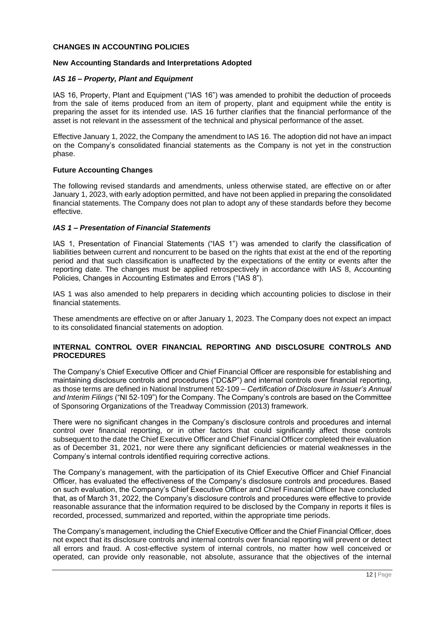## <span id="page-11-0"></span>**CHANGES IN ACCOUNTING POLICIES**

## **New Accounting Standards and Interpretations Adopted**

## *IAS 16 – Property, Plant and Equipment*

IAS 16, Property, Plant and Equipment ("IAS 16") was amended to prohibit the deduction of proceeds from the sale of items produced from an item of property, plant and equipment while the entity is preparing the asset for its intended use. IAS 16 further clarifies that the financial performance of the asset is not relevant in the assessment of the technical and physical performance of the asset.

Effective January 1, 2022, the Company the amendment to IAS 16. The adoption did not have an impact on the Company's consolidated financial statements as the Company is not yet in the construction phase.

## **Future Accounting Changes**

The following revised standards and amendments, unless otherwise stated, are effective on or after January 1, 2023, with early adoption permitted, and have not been applied in preparing the consolidated financial statements. The Company does not plan to adopt any of these standards before they become effective.

## *IAS 1 – Presentation of Financial Statements*

IAS 1, Presentation of Financial Statements ("IAS 1") was amended to clarify the classification of liabilities between current and noncurrent to be based on the rights that exist at the end of the reporting period and that such classification is unaffected by the expectations of the entity or events after the reporting date. The changes must be applied retrospectively in accordance with IAS 8, Accounting Policies, Changes in Accounting Estimates and Errors ("IAS 8").

IAS 1 was also amended to help preparers in deciding which accounting policies to disclose in their financial statements.

These amendments are effective on or after January 1, 2023. The Company does not expect an impact to its consolidated financial statements on adoption.

## <span id="page-11-1"></span>**INTERNAL CONTROL OVER FINANCIAL REPORTING AND DISCLOSURE CONTROLS AND PROCEDURES**

The Company's Chief Executive Officer and Chief Financial Officer are responsible for establishing and maintaining disclosure controls and procedures ("DC&P") and internal controls over financial reporting, as those terms are defined in National Instrument 52-109 – *Certification of Disclosure in Issuer's Annual and Interim Filings* ("NI 52-109") for the Company. The Company's controls are based on the Committee of Sponsoring Organizations of the Treadway Commission (2013) framework.

There were no significant changes in the Company's disclosure controls and procedures and internal control over financial reporting, or in other factors that could significantly affect those controls subsequent to the date the Chief Executive Officer and Chief Financial Officer completed their evaluation as of December 31, 2021, nor were there any significant deficiencies or material weaknesses in the Company's internal controls identified requiring corrective actions.

The Company's management, with the participation of its Chief Executive Officer and Chief Financial Officer, has evaluated the effectiveness of the Company's disclosure controls and procedures. Based on such evaluation, the Company's Chief Executive Officer and Chief Financial Officer have concluded that, as of March 31, 2022, the Company's disclosure controls and procedures were effective to provide reasonable assurance that the information required to be disclosed by the Company in reports it files is recorded, processed, summarized and reported, within the appropriate time periods.

The Company's management, including the Chief Executive Officer and the Chief Financial Officer, does not expect that its disclosure controls and internal controls over financial reporting will prevent or detect all errors and fraud. A cost-effective system of internal controls, no matter how well conceived or operated, can provide only reasonable, not absolute, assurance that the objectives of the internal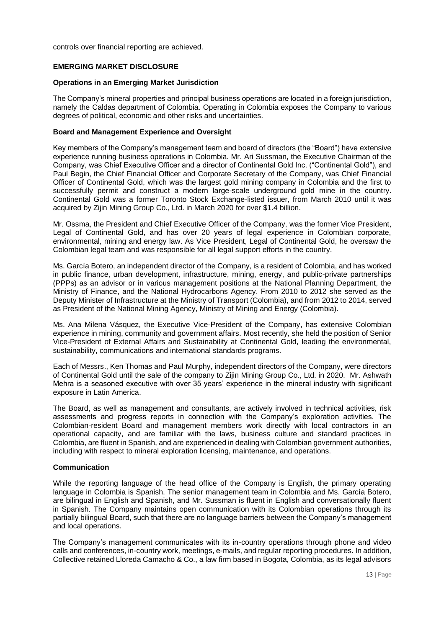<span id="page-12-0"></span>controls over financial reporting are achieved.

## **EMERGING MARKET DISCLOSURE**

#### **Operations in an Emerging Market Jurisdiction**

The Company's mineral properties and principal business operations are located in a foreign jurisdiction, namely the Caldas department of Colombia. Operating in Colombia exposes the Company to various degrees of political, economic and other risks and uncertainties.

#### **Board and Management Experience and Oversight**

Key members of the Company's management team and board of directors (the "Board") have extensive experience running business operations in Colombia. Mr. Ari Sussman, the Executive Chairman of the Company, was Chief Executive Officer and a director of Continental Gold Inc. ("Continental Gold"), and Paul Begin, the Chief Financial Officer and Corporate Secretary of the Company, was Chief Financial Officer of Continental Gold, which was the largest gold mining company in Colombia and the first to successfully permit and construct a modern large-scale underground gold mine in the country. Continental Gold was a former Toronto Stock Exchange-listed issuer, from March 2010 until it was acquired by Zijin Mining Group Co., Ltd. in March 2020 for over \$1.4 billion.

Mr. Ossma, the President and Chief Executive Officer of the Company, was the former Vice President, Legal of Continental Gold, and has over 20 years of legal experience in Colombian corporate, environmental, mining and energy law. As Vice President, Legal of Continental Gold, he oversaw the Colombian legal team and was responsible for all legal support efforts in the country.

Ms. García Botero, an independent director of the Company, is a resident of Colombia, and has worked in public finance, urban development, infrastructure, mining, energy, and public-private partnerships (PPPs) as an advisor or in various management positions at the National Planning Department, the Ministry of Finance, and the National Hydrocarbons Agency. From 2010 to 2012 she served as the Deputy Minister of Infrastructure at the Ministry of Transport (Colombia), and from 2012 to 2014, served as President of the National Mining Agency, Ministry of Mining and Energy (Colombia).

Ms. Ana Milena Vásquez, the Executive Vice-President of the Company, has extensive Colombian experience in mining, community and government affairs. Most recently, she held the position of Senior Vice-President of External Affairs and Sustainability at Continental Gold, leading the environmental, sustainability, communications and international standards programs.

Each of Messrs., Ken Thomas and Paul Murphy, independent directors of the Company, were directors of Continental Gold until the sale of the company to Zijin Mining Group Co., Ltd. in 2020. Mr. Ashwath Mehra is a seasoned executive with over 35 years' experience in the mineral industry with significant exposure in Latin America.

The Board, as well as management and consultants, are actively involved in technical activities, risk assessments and progress reports in connection with the Company's exploration activities. The Colombian-resident Board and management members work directly with local contractors in an operational capacity, and are familiar with the laws, business culture and standard practices in Colombia, are fluent in Spanish, and are experienced in dealing with Colombian government authorities, including with respect to mineral exploration licensing, maintenance, and operations.

#### **Communication**

While the reporting language of the head office of the Company is English, the primary operating language in Colombia is Spanish. The senior management team in Colombia and Ms. García Botero, are bilingual in English and Spanish, and Mr. Sussman is fluent in English and conversationally fluent in Spanish. The Company maintains open communication with its Colombian operations through its partially bilingual Board, such that there are no language barriers between the Company's management and local operations.

The Company's management communicates with its in-country operations through phone and video calls and conferences, in-country work, meetings, e-mails, and regular reporting procedures. [In addition,](https://lloredacamacho.com/)  [Collective retained Lloreda Camacho & Co., a law firm based in Bogota, Colombia, as its legal advisors](https://lloredacamacho.com/)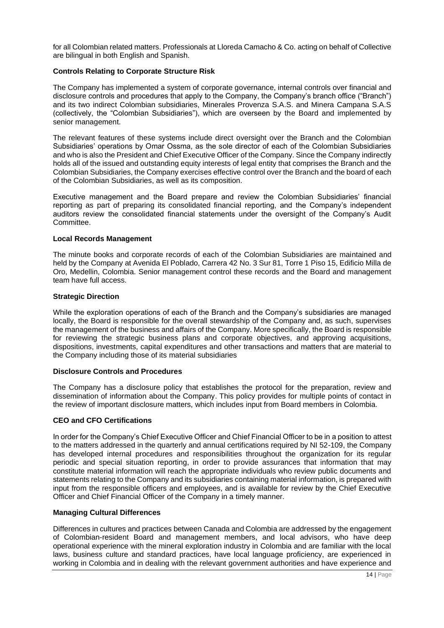[for all Colombian related matters. Professionals at Lloreda Camacho & Co. acting on behalf of Collective](https://lloredacamacho.com/)  [are bilingual in both English and Spanish.](https://lloredacamacho.com/) 

# **Controls Relating to Corporate Structure Risk**

The Company has implemented a system of corporate governance, internal controls over financial and disclosure controls and procedures that apply to the Company, the Company's branch office ("Branch") and its two indirect Colombian subsidiaries, Minerales Provenza S.A.S. and Minera Campana S.A.S (collectively, the "Colombian Subsidiaries"), which are overseen by the Board and implemented by senior management.

The relevant features of these systems include direct oversight over the Branch and the Colombian Subsidiaries' operations by Omar Ossma, as the sole director of each of the Colombian Subsidiaries and who is also the President and Chief Executive Officer of the Company. Since the Company indirectly holds all of the issued and outstanding equity interests of legal entity that comprises the Branch and the Colombian Subsidiaries, the Company exercises effective control over the Branch and the board of each of the Colombian Subsidiaries, as well as its composition.

Executive management and the Board prepare and review the Colombian Subsidiaries' financial reporting as part of preparing its consolidated financial reporting, and the Company's independent auditors review the consolidated financial statements under the oversight of the Company's Audit Committee.

#### **Local Records Management**

The minute books and corporate records of each of the Colombian Subsidiaries are maintained and held by the Company at Avenida El Poblado, Carrera 42 No. 3 Sur 81, Torre 1 Piso 15, Edificio Milla de Oro, Medellin, Colombia. Senior management control these records and the Board and management team have full access.

## **Strategic Direction**

While the exploration operations of each of the Branch and the Company's subsidiaries are managed locally, the Board is responsible for the overall stewardship of the Company and, as such, supervises the management of the business and affairs of the Company. More specifically, the Board is responsible for reviewing the strategic business plans and corporate objectives, and approving acquisitions, dispositions, investments, capital expenditures and other transactions and matters that are material to the Company including those of its material subsidiaries

## **Disclosure Controls and Procedures**

The Company has a disclosure policy that establishes the protocol for the preparation, review and dissemination of information about the Company. This policy provides for multiple points of contact in the review of important disclosure matters, which includes input from Board members in Colombia.

# **CEO and CFO Certifications**

In order for the Company's Chief Executive Officer and Chief Financial Officer to be in a position to attest to the matters addressed in the quarterly and annual certifications required by NI 52-109, the Company has developed internal procedures and responsibilities throughout the organization for its regular periodic and special situation reporting, in order to provide assurances that information that may constitute material information will reach the appropriate individuals who review public documents and statements relating to the Company and its subsidiaries containing material information, is prepared with input from the responsible officers and employees, and is available for review by the Chief Executive Officer and Chief Financial Officer of the Company in a timely manner.

# **Managing Cultural Differences**

Differences in cultures and practices between Canada and Colombia are addressed by the engagement of Colombian-resident Board and management members, and local advisors, who have deep operational experience with the mineral exploration industry in Colombia and are familiar with the local laws, business culture and standard practices, have local language proficiency, are experienced in working in Colombia and in dealing with the relevant government authorities and have experience and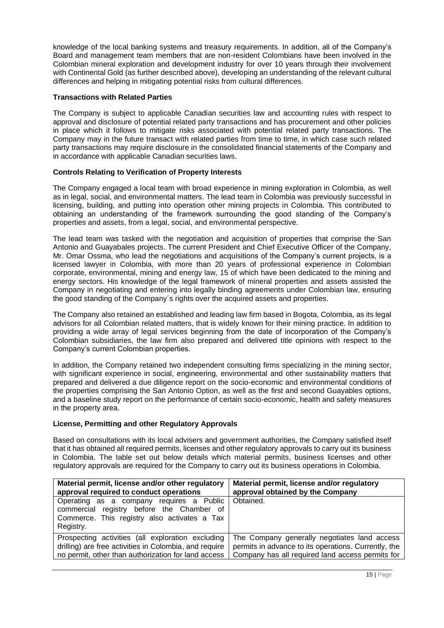knowledge of the local banking systems and treasury requirements. In addition, all of the Company's Board and management team members that are non-resident Colombians have been involved in the Colombian mineral exploration and development industry for over 10 years through their involvement with Continental Gold (as further described above), developing an understanding of the relevant cultural differences and helping in mitigating potential risks from cultural differences.

# **Transactions with Related Parties**

The Company is subject to applicable Canadian securities law and accounting rules with respect to approval and disclosure of potential related party transactions and has procurement and other policies in place which it follows to mitigate risks associated with potential related party transactions. The Company may in the future transact with related parties from time to time, in which case such related party transactions may require disclosure in the consolidated financial statements of the Company and in accordance with applicable Canadian securities laws.

# **Controls Relating to Verification of Property Interests**

The Company engaged a local team with broad experience in mining exploration in Colombia, as well as in legal, social, and environmental matters. The lead team in Colombia was previously successful in licensing, building, and putting into operation other mining projects in Colombia. This contributed to obtaining an understanding of the framework surrounding the good standing of the Company's properties and assets, from a legal, social, and environmental perspective.

The lead team was tasked with the negotiation and acquisition of properties that comprise the San Antonio and Guayabales projects. The current President and Chief Executive Officer of the Company, Mr. Omar Ossma, who lead the negotiations and acquisitions of the Company's current projects, is a licensed lawyer in Colombia, with more than 20 years of professional experience in Colombian corporate, environmental, mining and energy law, 15 of which have been dedicated to the mining and energy sectors. His knowledge of the legal framework of mineral properties and assets assisted the Company in negotiating and entering into legally binding agreements under Colombian law, ensuring the good standing of the Company´s rights over the acquired assets and properties.

The Company also retained an established and leading law firm based in Bogota, Colombia, as its legal advisors for all Colombian related matters, that is widely known for their mining practice. In addition to providing a wide array of legal services beginning from the date of incorporation of the Company's Colombian subsidiaries, the law firm also prepared and delivered title opinions with respect to the Company's current Colombian properties.

In addition, the Company retained two independent consulting firms specializing in the mining sector, with significant experience in social, engineering, environmental and other sustainability matters that prepared and delivered a due diligence report on the socio-economic and environmental conditions of the properties comprising the San Antonio Option, as well as the first and second Guayables options, and a baseline study report on the performance of certain socio-economic, health and safety measures in the property area.

# **License, Permitting and other Regulatory Approvals**

Based on consultations with its local advisers and government authorities, the Company satisfied itself that it has obtained all required permits, licenses and other regulatory approvals to carry out its business in Colombia. The table set out below details which material permits, business licenses and other regulatory approvals are required for the Company to carry out its business operations in Colombia.

| Material permit, license and/or other regulatory                                                                                                   | Material permit, license and/or regulatory           |
|----------------------------------------------------------------------------------------------------------------------------------------------------|------------------------------------------------------|
| approval required to conduct operations                                                                                                            | approval obtained by the Company                     |
| Operating as a company requires a Public<br>commercial registry before the Chamber of<br>Commerce. This registry also activates a Tax<br>Registry. | Obtained.                                            |
| Prospecting activities (all exploration excluding                                                                                                  | The Company generally negotiates land access         |
| drilling) are free activities in Colombia, and require                                                                                             | permits in advance to its operations. Currently, the |
| no permit, other than authorization for land access                                                                                                | Company has all required land access permits for     |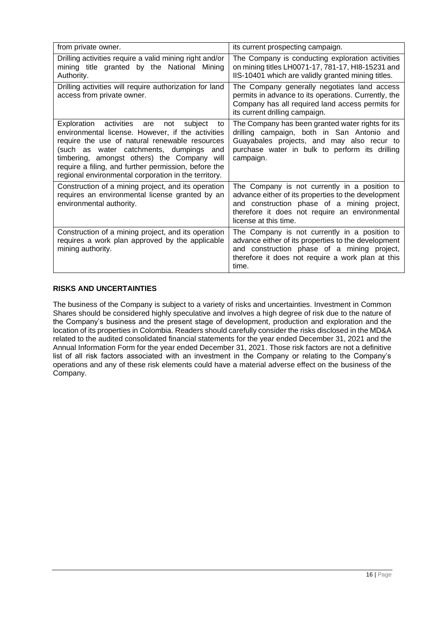| from private owner.                                                                                                                                                                                                                                                                                                                                                    | its current prospecting campaign.                                                                                                                                                                                              |
|------------------------------------------------------------------------------------------------------------------------------------------------------------------------------------------------------------------------------------------------------------------------------------------------------------------------------------------------------------------------|--------------------------------------------------------------------------------------------------------------------------------------------------------------------------------------------------------------------------------|
| Drilling activities require a valid mining right and/or<br>mining title granted by the National<br>Minina<br>Authority.                                                                                                                                                                                                                                                | The Company is conducting exploration activities<br>on mining titles LH0071-17, 781-17, HI8-15231 and<br>IIS-10401 which are validly granted mining titles.                                                                    |
| Drilling activities will require authorization for land<br>access from private owner.                                                                                                                                                                                                                                                                                  | The Company generally negotiates land access<br>permits in advance to its operations. Currently, the<br>Company has all required land access permits for<br>its current drilling campaign.                                     |
| Exploration activities are<br>not<br>subiect<br>to<br>environmental license. However, if the activities<br>require the use of natural renewable resources<br>(such as water catchments, dumpings<br>and<br>timbering, amongst others) the Company will<br>require a filing, and further permission, before the<br>regional environmental corporation in the territory. | The Company has been granted water rights for its<br>drilling campaign, both in San Antonio and<br>Guayabales projects, and may also recur to<br>purchase water in bulk to perform its drilling<br>campaign.                   |
| Construction of a mining project, and its operation<br>requires an environmental license granted by an<br>environmental authority.                                                                                                                                                                                                                                     | The Company is not currently in a position to<br>advance either of its properties to the development<br>and construction phase of a mining project,<br>therefore it does not require an environmental<br>license at this time. |
| Construction of a mining project, and its operation<br>requires a work plan approved by the applicable<br>mining authority.                                                                                                                                                                                                                                            | The Company is not currently in a position to<br>advance either of its properties to the development<br>and construction phase of a mining project,<br>therefore it does not require a work plan at this<br>time.              |

# <span id="page-15-0"></span>**RISKS AND UNCERTAINTIES**

The business of the Company is subject to a variety of risks and uncertainties. Investment in Common Shares should be considered highly speculative and involves a high degree of risk due to the nature of the Company's business and the present stage of development, production and exploration and the location of its properties in Colombia. Readers should carefully consider the risks disclosed in the MD&A related to the audited consolidated financial statements for the year ended December 31, 2021 and the Annual Information Form for the year ended December 31, 2021. Those risk factors are not a definitive list of all risk factors associated with an investment in the Company or relating to the Company's operations and any of these risk elements could have a material adverse effect on the business of the Company.